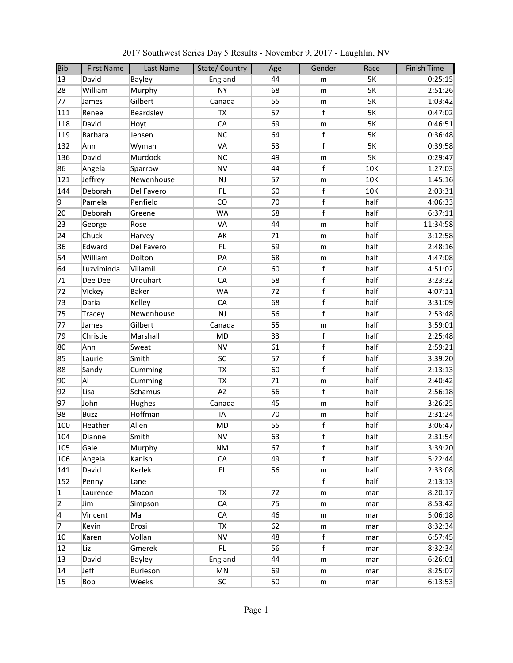| <b>Bib</b>     | <b>First Name</b> | Last Name     | State/Country | Age | Gender      | Race      | <b>Finish Time</b> |
|----------------|-------------------|---------------|---------------|-----|-------------|-----------|--------------------|
| 13             | David             | Bayley        | England       | 44  | m           | 5K        | 0:25:15            |
| 28             | William           | Murphy        | <b>NY</b>     | 68  | m           | <b>5K</b> | 2:51:26            |
| 77             | James             | Gilbert       | Canada        | 55  | m           | 5K        | 1:03:42            |
| 111            | Renee             | Beardsley     | TX            | 57  | $\mathsf f$ | 5K        | 0:47:02            |
| 118            | David             | Hoyt          | CA            | 69  | m           | <b>5K</b> | 0:46:51            |
| 119            | <b>Barbara</b>    | Jensen        | <b>NC</b>     | 64  | $\mathsf f$ | 5K        | 0:36:48            |
| 132            | Ann               | Wyman         | VA            | 53  | $\mathsf f$ | 5K        | 0:39:58            |
| 136            | David             | Murdock       | NC            | 49  | m           | 5K        | 0:29:47            |
| 86             | Angela            | Sparrow       | <b>NV</b>     | 44  | f           | 10K       | 1:27:03            |
| 121            | Jeffrey           | Newenhouse    | <b>NJ</b>     | 57  | ${\sf m}$   | 10K       | 1:45:16            |
| 144            | Deborah           | Del Favero    | FL.           | 60  | $\mathsf f$ | 10K       | 2:03:31            |
| 9              | Pamela            | Penfield      | CO            | 70  | $\mathsf f$ | half      | 4:06:33            |
| 20             | Deborah           | Greene        | <b>WA</b>     | 68  | $\mathsf f$ | half      | 6:37:11            |
| 23             | George            | Rose          | VA            | 44  | m           | half      | 11:34:58           |
| 24             | Chuck             | Harvey        | AK            | 71  | m           | half      | 3:12:58            |
| 36             | Edward            | Del Favero    | FL.           | 59  | m           | half      | 2:48:16            |
| 54             | William           | Dolton        | PA            | 68  | m           | half      | 4:47:08            |
| 64             | Luzviminda        | Villamil      | CA            | 60  | $\mathsf f$ | half      | 4:51:02            |
| 71             | Dee Dee           | Urquhart      | CA            | 58  | $\mathsf f$ | half      | 3:23:32            |
| 72             | Vickey            | <b>Baker</b>  | <b>WA</b>     | 72  | $\mathsf f$ | half      | 4:07:11            |
| 73             | Daria             | Kelley        | CA            | 68  | $\mathsf f$ | half      | 3:31:09            |
| 75             | Tracey            | Newenhouse    | <b>NJ</b>     | 56  | $\mathsf f$ | half      | 2:53:48            |
| 77             | James             | Gilbert       | Canada        | 55  | m           | half      | 3:59:01            |
| 79             | Christie          | Marshall      | <b>MD</b>     | 33  | $\mathsf f$ | half      | 2:25:48            |
| 80             | Ann               | Sweat         | <b>NV</b>     | 61  | $\mathsf f$ | half      | 2:59:21            |
| 85             | Laurie            | Smith         | SC            | 57  | $\mathsf f$ | half      | 3:39:20            |
| 88             | Sandy             | Cumming       | TX            | 60  | $\mathsf f$ | half      | 2:13:13            |
| 90             | AI                | Cumming       | <b>TX</b>     | 71  | ${\sf m}$   | half      | 2:40:42            |
| 92             | Lisa              | Schamus       | AZ            | 56  | $\mathsf f$ | half      | 2:56:18            |
| 97             | John              | Hughes        | Canada        | 45  | ${\sf m}$   | half      | 3:26:25            |
| 98             | <b>Buzz</b>       | Hoffman       | IA            | 70  | m           | half      | 2:31:24            |
| 100            | Heather           | Allen         | <b>MD</b>     | 55  | $\mathsf f$ | half      | 3:06:47            |
| 104            | Dianne            | Smith         | <b>NV</b>     | 63  | $\mathsf f$ | half      | 2:31:54            |
| 105            | Gale              | Murphy        | ΝM            | 67  | $\mathsf f$ | half      | 3:39:20            |
| 106            | Angela            | Kanish        | ${\sf CA}$    | 49  | $\mathsf f$ | half      | 5:22:44            |
| 141            | David             | Kerlek        | FL.           | 56  | m           | half      | 2:33:08            |
| 152            | Penny             | Lane          |               |     | f           | half      | 2:13:13            |
| $\vert$ 1      | Laurence          | Macon         | <b>TX</b>     | 72  | m           | mar       | 8:20:17            |
| $\overline{2}$ | Jim               | Simpson       | CA            | 75  | m           | mar       | 8:53:42            |
| 14             | Vincent           | Ma            | CA            | 46  | m           | mar       | 5:06:18            |
| 7              | Kevin             | <b>Brosi</b>  | <b>TX</b>     | 62  | m           | mar       | 8:32:34            |
| 10             | Karen             | Vollan        | <b>NV</b>     | 48  | $\mathsf f$ | mar       | 6:57:45            |
| 12             | Liz               | Gmerek        | FL.           | 56  | $\mathsf f$ | mar       | 8:32:34            |
| 13             | David             | <b>Bayley</b> | England       | 44  | m           | mar       | 6:26:01            |
| 14             | Jeff              | Burleson      | MN            | 69  | m           | mar       | 8:25:07            |
| 15             | <b>Bob</b>        | Weeks         | SC            | 50  | m           | mar       | 6:13:53            |

2017 Southwest Series Day 5 Results - November 9, 2017 - Laughlin, NV